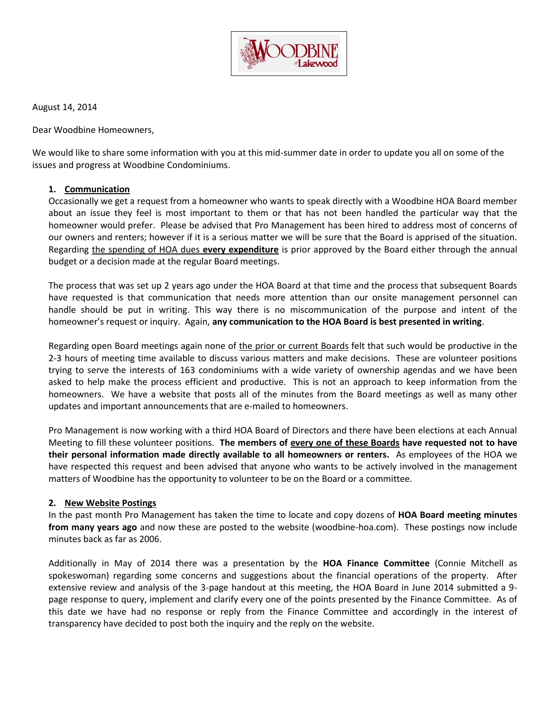

August 14, 2014

Dear Woodbine Homeowners,

We would like to share some information with you at this mid-summer date in order to update you all on some of the issues and progress at Woodbine Condominiums.

#### **1. Communication**

Occasionally we get a request from a homeowner who wants to speak directly with a Woodbine HOA Board member about an issue they feel is most important to them or that has not been handled the particular way that the homeowner would prefer. Please be advised that Pro Management has been hired to address most of concerns of our owners and renters; however if it is a serious matter we will be sure that the Board is apprised of the situation. Regarding the spending of HOA dues **every expenditure** is prior approved by the Board either through the annual budget or a decision made at the regular Board meetings.

The process that was set up 2 years ago under the HOA Board at that time and the process that subsequent Boards have requested is that communication that needs more attention than our onsite management personnel can handle should be put in writing. This way there is no miscommunication of the purpose and intent of the homeowner's request or inquiry. Again, **any communication to the HOA Board is best presented in writing**.

Regarding open Board meetings again none of the prior or current Boards felt that such would be productive in the 2-3 hours of meeting time available to discuss various matters and make decisions. These are volunteer positions trying to serve the interests of 163 condominiums with a wide variety of ownership agendas and we have been asked to help make the process efficient and productive. This is not an approach to keep information from the homeowners. We have a website that posts all of the minutes from the Board meetings as well as many other updates and important announcements that are e-mailed to homeowners.

Pro Management is now working with a third HOA Board of Directors and there have been elections at each Annual Meeting to fill these volunteer positions. **The members of every one of these Boards have requested not to have their personal information made directly available to all homeowners or renters.** As employees of the HOA we have respected this request and been advised that anyone who wants to be actively involved in the management matters of Woodbine has the opportunity to volunteer to be on the Board or a committee.

#### **2. New Website Postings**

In the past month Pro Management has taken the time to locate and copy dozens of **HOA Board meeting minutes from many years ago** and now these are posted to the website (woodbine-hoa.com). These postings now include minutes back as far as 2006.

Additionally in May of 2014 there was a presentation by the **HOA Finance Committee** (Connie Mitchell as spokeswoman) regarding some concerns and suggestions about the financial operations of the property. After extensive review and analysis of the 3-page handout at this meeting, the HOA Board in June 2014 submitted a 9 page response to query, implement and clarify every one of the points presented by the Finance Committee. As of this date we have had no response or reply from the Finance Committee and accordingly in the interest of transparency have decided to post both the inquiry and the reply on the website.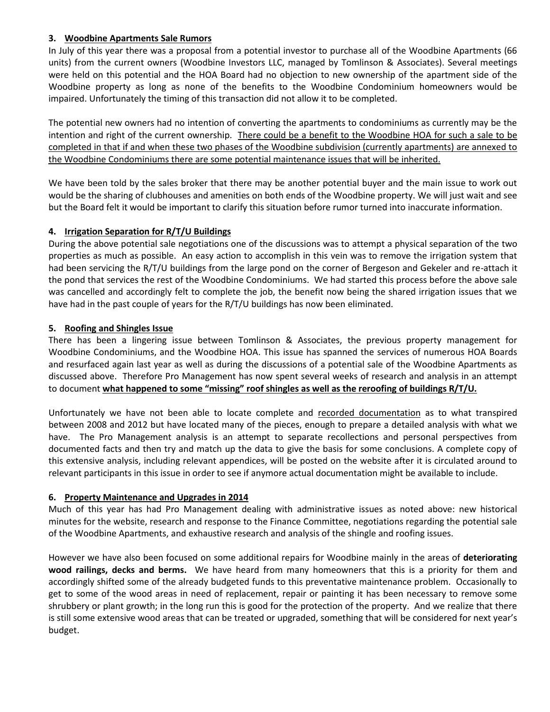## **3. Woodbine Apartments Sale Rumors**

In July of this year there was a proposal from a potential investor to purchase all of the Woodbine Apartments (66 units) from the current owners (Woodbine Investors LLC, managed by Tomlinson & Associates). Several meetings were held on this potential and the HOA Board had no objection to new ownership of the apartment side of the Woodbine property as long as none of the benefits to the Woodbine Condominium homeowners would be impaired. Unfortunately the timing of this transaction did not allow it to be completed.

The potential new owners had no intention of converting the apartments to condominiums as currently may be the intention and right of the current ownership. There could be a benefit to the Woodbine HOA for such a sale to be completed in that if and when these two phases of the Woodbine subdivision (currently apartments) are annexed to the Woodbine Condominiums there are some potential maintenance issues that will be inherited.

We have been told by the sales broker that there may be another potential buyer and the main issue to work out would be the sharing of clubhouses and amenities on both ends of the Woodbine property. We will just wait and see but the Board felt it would be important to clarify this situation before rumor turned into inaccurate information.

# **4. Irrigation Separation for R/T/U Buildings**

During the above potential sale negotiations one of the discussions was to attempt a physical separation of the two properties as much as possible. An easy action to accomplish in this vein was to remove the irrigation system that had been servicing the R/T/U buildings from the large pond on the corner of Bergeson and Gekeler and re-attach it the pond that services the rest of the Woodbine Condominiums. We had started this process before the above sale was cancelled and accordingly felt to complete the job, the benefit now being the shared irrigation issues that we have had in the past couple of years for the R/T/U buildings has now been eliminated.

# **5. Roofing and Shingles Issue**

There has been a lingering issue between Tomlinson & Associates, the previous property management for Woodbine Condominiums, and the Woodbine HOA. This issue has spanned the services of numerous HOA Boards and resurfaced again last year as well as during the discussions of a potential sale of the Woodbine Apartments as discussed above. Therefore Pro Management has now spent several weeks of research and analysis in an attempt to document **what happened to some "missing" roof shingles as well as the reroofing of buildings R/T/U.**

Unfortunately we have not been able to locate complete and recorded documentation as to what transpired between 2008 and 2012 but have located many of the pieces, enough to prepare a detailed analysis with what we have. The Pro Management analysis is an attempt to separate recollections and personal perspectives from documented facts and then try and match up the data to give the basis for some conclusions. A complete copy of this extensive analysis, including relevant appendices, will be posted on the website after it is circulated around to relevant participants in this issue in order to see if anymore actual documentation might be available to include.

### **6. Property Maintenance and Upgrades in 2014**

Much of this year has had Pro Management dealing with administrative issues as noted above: new historical minutes for the website, research and response to the Finance Committee, negotiations regarding the potential sale of the Woodbine Apartments, and exhaustive research and analysis of the shingle and roofing issues.

However we have also been focused on some additional repairs for Woodbine mainly in the areas of **deteriorating wood railings, decks and berms.** We have heard from many homeowners that this is a priority for them and accordingly shifted some of the already budgeted funds to this preventative maintenance problem. Occasionally to get to some of the wood areas in need of replacement, repair or painting it has been necessary to remove some shrubbery or plant growth; in the long run this is good for the protection of the property. And we realize that there is still some extensive wood areas that can be treated or upgraded, something that will be considered for next year's budget.